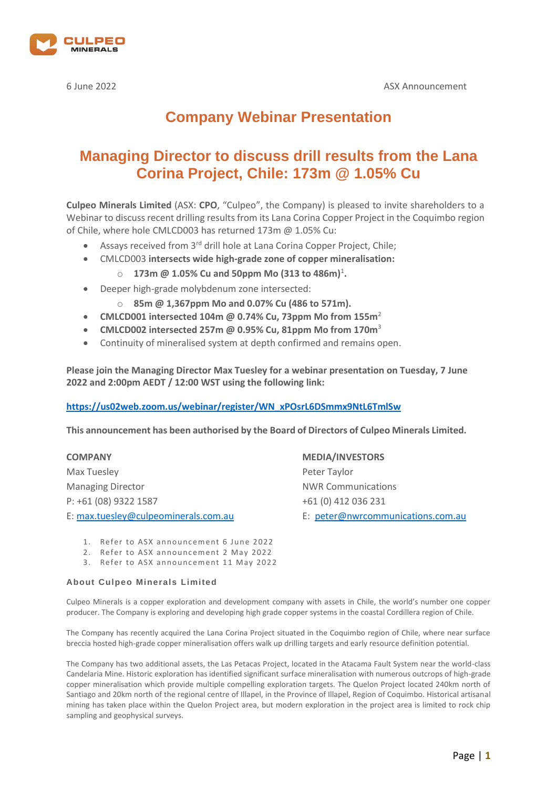

# **Company Webinar Presentation**

# **Managing Director to discuss drill results from the Lana Corina Project, Chile: 173m @ 1.05% Cu**

**Culpeo Minerals Limited** (ASX: **CPO**, "Culpeo", the Company) is pleased to invite shareholders to a Webinar to discuss recent drilling results from its Lana Corina Copper Project in the Coquimbo region of Chile, where hole CMLCD003 has returned 173m @ 1.05% Cu:

- Assays received from 3<sup>rd</sup> drill hole at Lana Corina Copper Project, Chile;
- CMLCD003 **intersects wide high-grade zone of copper mineralisation:**
	- $\circ$  **173m @ 1.05% Cu and 50ppm Mo (313 to 486m)<sup>1</sup>.**
- Deeper high-grade molybdenum zone intersected:
	- o **85m @ 1,367ppm Mo and 0.07% Cu (486 to 571m).**
- **CMLCD001 intersected 104m @ 0.74% Cu, 73ppm Mo from 155m**<sup>2</sup>
- **CMLCD002 intersected 257m @ 0.95% Cu, 81ppm Mo from 170m**<sup>3</sup>
- Continuity of mineralised system at depth confirmed and remains open.

**Please join the Managing Director Max Tuesley for a webinar presentation on Tuesday, 7 June 2022 and 2:00pm AEDT / 12:00 WST using the following link:** 

## **[https://us02web.zoom.us/webinar/register/WN\\_xPOsrL6DSmmx9NtL6TmlSw](https://us02web.zoom.us/webinar/register/WN_xPOsrL6DSmmx9NtL6TmlSw)**

**This announcement has been authorised by the Board of Directors of Culpeo Minerals Limited.**

Max Tuesley **Peter Taylor** Managing Director **NWR Communications** P: +61 (08) 9322 1587 +61 (0) 412 036 231

**COMPANY MEDIA/INVESTORS**

E[: max.tuesley@culpeominerals.com.au](mailto:max.tuesley@culpeominerals.com.au) E: [peter@nwrcommunications.com.au](mailto:peter@nwrcommunications.com.au)

- 2. Refer to ASX announcement 2 May 2022
- 3. Refer to ASX announcement 11 May 2022

### **About Culpeo Minerals Limited**

Culpeo Minerals is a copper exploration and development company with assets in Chile, the world's number one copper producer. The Company is exploring and developing high grade copper systems in the coastal Cordillera region of Chile.

The Company has recently acquired the Lana Corina Project situated in the Coquimbo region of Chile, where near surface breccia hosted high-grade copper mineralisation offers walk up drilling targets and early resource definition potential.

The Company has two additional assets, the Las Petacas Project, located in the Atacama Fault System near the world-class Candelaria Mine. Historic exploration has identified significant surface mineralisation with numerous outcrops of high-grade copper mineralisation which provide multiple compelling exploration targets. The Quelon Project located 240km north of Santiago and 20km north of the regional centre of Illapel, in the Province of Illapel, Region of Coquimbo. Historical artisanal mining has taken place within the Quelon Project area, but modern exploration in the project area is limited to rock chip sampling and geophysical surveys.

<sup>1.</sup> Refer to ASX announcement 6 June 2022